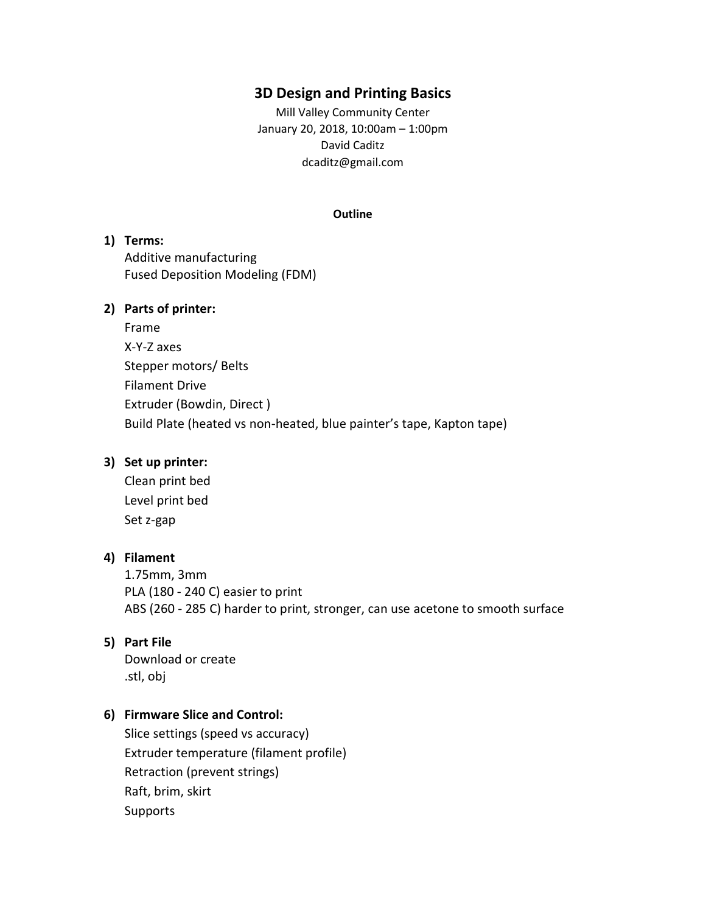# **3D Design and Printing Basics**

Mill Valley Community Center January 20, 2018, 10:00am – 1:00pm David Caditz dcaditz@gmail.com

#### **Outline**

# **1) Terms:** Additive manufacturing Fused Deposition Modeling (FDM)

## **2) Parts of printer:**

| Frame                                                                |
|----------------------------------------------------------------------|
| X-Y-Z axes                                                           |
| Stepper motors/ Belts                                                |
| <b>Filament Drive</b>                                                |
| Extruder (Bowdin, Direct)                                            |
| Build Plate (heated vs non-heated, blue painter's tape, Kapton tape) |

### **3) Set up printer:**

Clean print bed Level print bed Set z-gap

# **4) Filament**

1.75mm, 3mm PLA (180 - 240 C) easier to print ABS (260 - 285 C) harder to print, stronger, can use acetone to smooth surface

# **5) Part File**

Download or create .stl, obj

# **6) Firmware Slice and Control:**

Slice settings (speed vs accuracy) Extruder temperature (filament profile) Retraction (prevent strings) Raft, brim, skirt Supports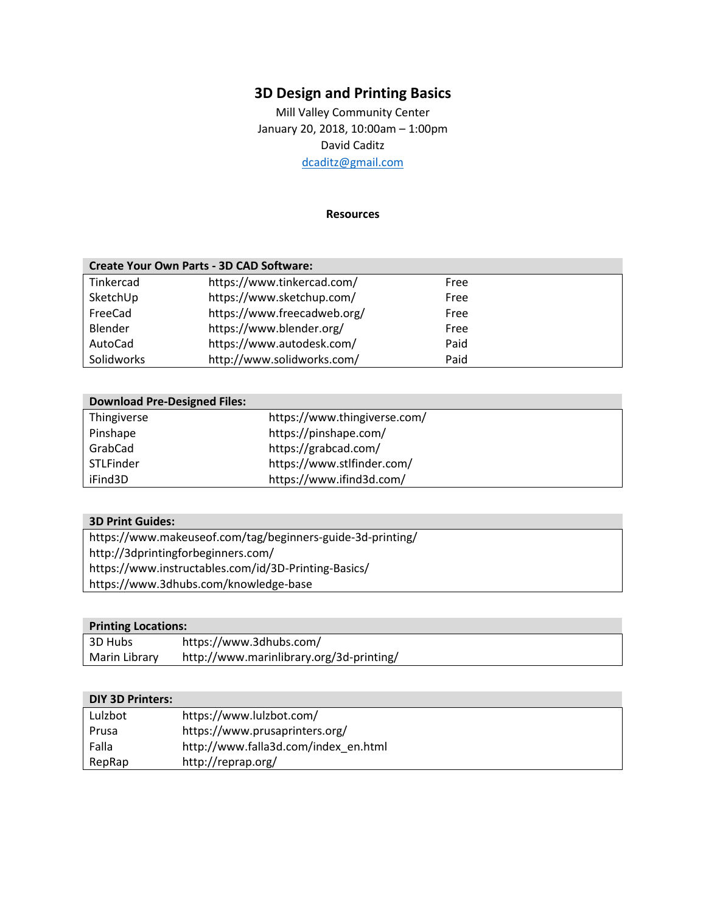# **3D Design and Printing Basics**

Mill Valley Community Center January 20, 2018, 10:00am – 1:00pm David Caditz [dcaditz@gmail.com](mailto:dcaditz@gmail.com)

#### **Resources**

| <b>Create Your Own Parts - 3D CAD Software:</b> |                             |      |  |
|-------------------------------------------------|-----------------------------|------|--|
| Tinkercad                                       | https://www.tinkercad.com/  | Free |  |
| SketchUp                                        | https://www.sketchup.com/   | Free |  |
| FreeCad                                         | https://www.freecadweb.org/ | Free |  |
| Blender                                         | https://www.blender.org/    | Free |  |
| AutoCad                                         | https://www.autodesk.com/   | Paid |  |
| Solidworks                                      | http://www.solidworks.com/  | Paid |  |

| <b>Download Pre-Designed Files:</b> |                              |
|-------------------------------------|------------------------------|
| Thingiverse                         | https://www.thingiverse.com/ |
| Pinshape                            | https://pinshape.com/        |
| GrabCad                             | https://grabcad.com/         |
| <b>STLFinder</b>                    | https://www.stlfinder.com/   |
| iFind3D                             | https://www.ifind3d.com/     |

## **3D Print Guides:**

https://www.makeuseof.com/tag/beginners-guide-3d-printing/ http://3dprintingforbeginners.com/ https://www.instructables.com/id/3D-Printing-Basics/ https://www.3dhubs.com/knowledge-base

# **Printing Locations:**

| 3D Hubs       | https://www.3dhubs.com/                  |
|---------------|------------------------------------------|
| Marin Library | http://www.marinlibrary.org/3d-printing/ |

# **DIY 3D Printers:**

| Lulzbot | https://www.lulzbot.com/             |
|---------|--------------------------------------|
| Prusa   | https://www.prusaprinters.org/       |
| Falla   | http://www.falla3d.com/index en.html |
| RepRap  | http://reprap.org/                   |